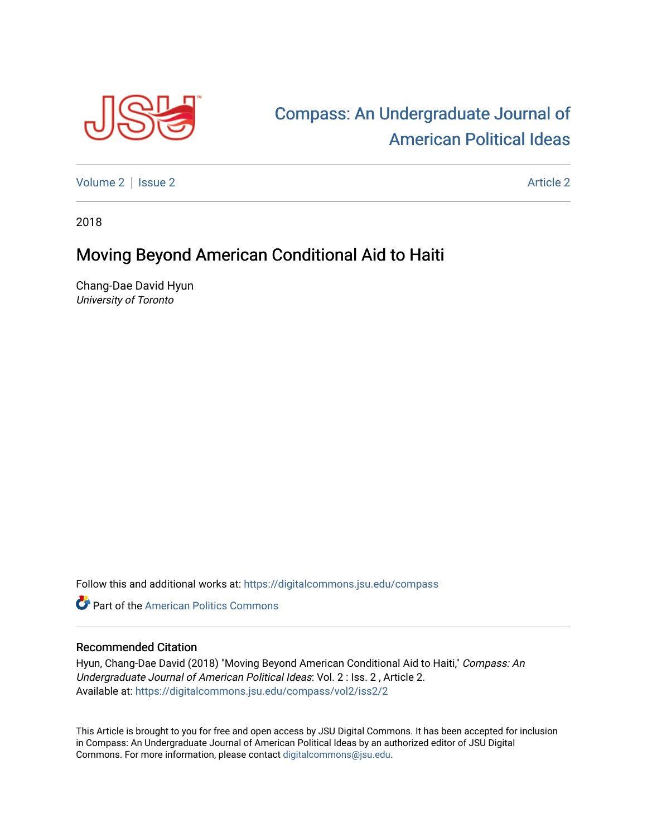

## [Compass: An Undergraduate Journal of](https://digitalcommons.jsu.edu/compass)  [American Political Ideas](https://digitalcommons.jsu.edu/compass)

[Volume 2](https://digitalcommons.jsu.edu/compass/vol2) | [Issue 2](https://digitalcommons.jsu.edu/compass/vol2/iss2) Article 2

2018

## Moving Beyond American Conditional Aid to Haiti

Chang-Dae David Hyun University of Toronto

Follow this and additional works at: [https://digitalcommons.jsu.edu/compass](https://digitalcommons.jsu.edu/compass?utm_source=digitalcommons.jsu.edu%2Fcompass%2Fvol2%2Fiss2%2F2&utm_medium=PDF&utm_campaign=PDFCoverPages)

**C** Part of the American Politics Commons

## Recommended Citation

Hyun, Chang-Dae David (2018) "Moving Beyond American Conditional Aid to Haiti," Compass: An Undergraduate Journal of American Political Ideas: Vol. 2 : Iss. 2 , Article 2. Available at: [https://digitalcommons.jsu.edu/compass/vol2/iss2/2](https://digitalcommons.jsu.edu/compass/vol2/iss2/2?utm_source=digitalcommons.jsu.edu%2Fcompass%2Fvol2%2Fiss2%2F2&utm_medium=PDF&utm_campaign=PDFCoverPages)

This Article is brought to you for free and open access by JSU Digital Commons. It has been accepted for inclusion in Compass: An Undergraduate Journal of American Political Ideas by an authorized editor of JSU Digital Commons. For more information, please contact [digitalcommons@jsu.edu.](mailto:digitalcommons@jsu.edu)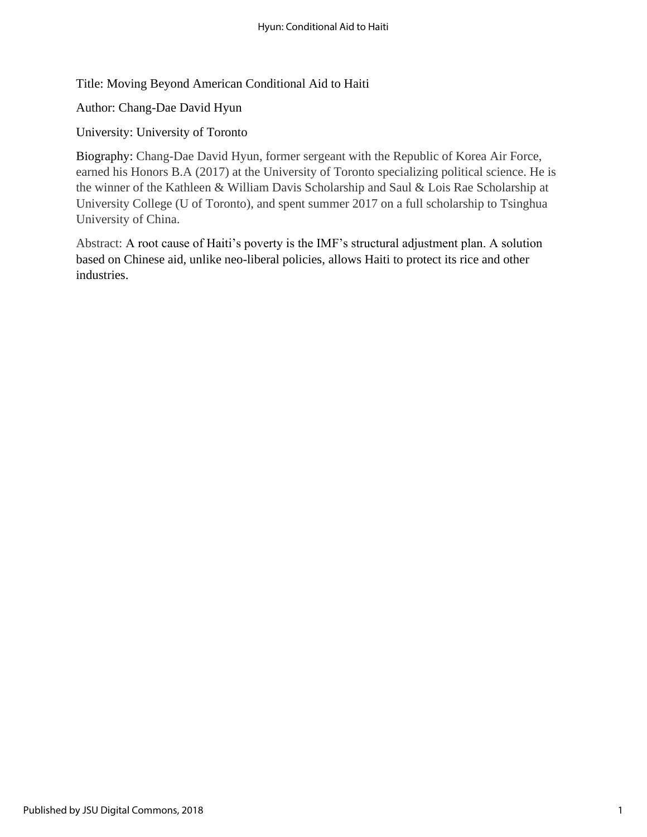Title: Moving Beyond American Conditional Aid to Haiti

Author: Chang-Dae David Hyun

University: University of Toronto

Biography: Chang-Dae David Hyun, former sergeant with the Republic of Korea Air Force, earned his Honors B.A (2017) at the University of Toronto specializing political science. He is the winner of the Kathleen & William Davis Scholarship and Saul & Lois Rae Scholarship at University College (U of Toronto), and spent summer 2017 on a full scholarship to Tsinghua University of China.

Abstract: A root cause of Haiti's poverty is the IMF's structural adjustment plan. A solution based on Chinese aid, unlike neo-liberal policies, allows Haiti to protect its rice and other industries.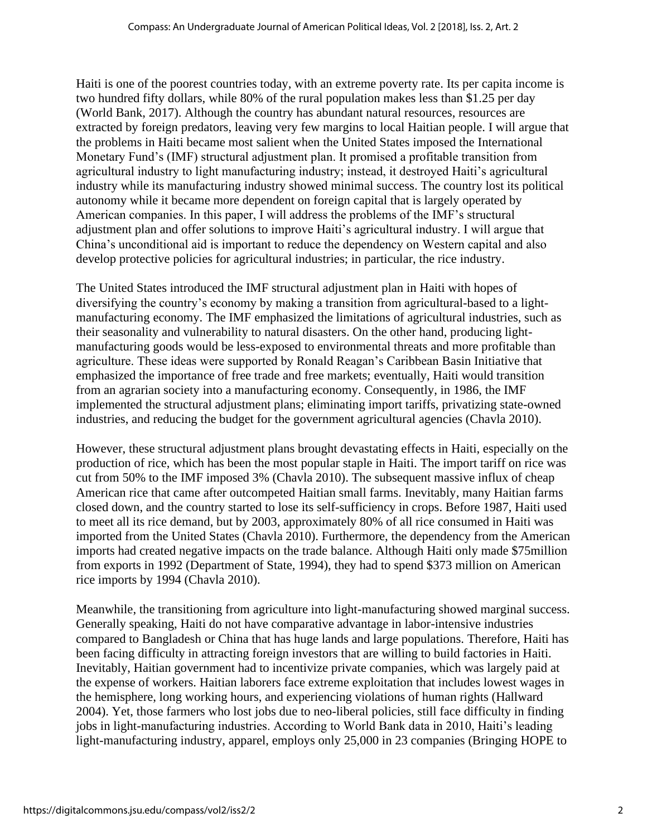Haiti is one of the poorest countries today, with an extreme poverty rate. Its per capita income is two hundred fifty dollars, while 80% of the rural population makes less than \$1.25 per day (World Bank, 2017). Although the country has abundant natural resources, resources are extracted by foreign predators, leaving very few margins to local Haitian people. I will argue that the problems in Haiti became most salient when the United States imposed the International Monetary Fund's (IMF) structural adjustment plan. It promised a profitable transition from agricultural industry to light manufacturing industry; instead, it destroyed Haiti's agricultural industry while its manufacturing industry showed minimal success. The country lost its political autonomy while it became more dependent on foreign capital that is largely operated by American companies. In this paper, I will address the problems of the IMF's structural adjustment plan and offer solutions to improve Haiti's agricultural industry. I will argue that China's unconditional aid is important to reduce the dependency on Western capital and also develop protective policies for agricultural industries; in particular, the rice industry.

The United States introduced the IMF structural adjustment plan in Haiti with hopes of diversifying the country's economy by making a transition from agricultural-based to a lightmanufacturing economy. The IMF emphasized the limitations of agricultural industries, such as their seasonality and vulnerability to natural disasters. On the other hand, producing lightmanufacturing goods would be less-exposed to environmental threats and more profitable than agriculture. These ideas were supported by Ronald Reagan's Caribbean Basin Initiative that emphasized the importance of free trade and free markets; eventually, Haiti would transition from an agrarian society into a manufacturing economy. Consequently, in 1986, the IMF implemented the structural adjustment plans; eliminating import tariffs, privatizing state-owned industries, and reducing the budget for the government agricultural agencies (Chavla 2010).

However, these structural adjustment plans brought devastating effects in Haiti, especially on the production of rice, which has been the most popular staple in Haiti. The import tariff on rice was cut from 50% to the IMF imposed 3% (Chavla 2010). The subsequent massive influx of cheap American rice that came after outcompeted Haitian small farms. Inevitably, many Haitian farms closed down, and the country started to lose its self-sufficiency in crops. Before 1987, Haiti used to meet all its rice demand, but by 2003, approximately 80% of all rice consumed in Haiti was imported from the United States (Chavla 2010). Furthermore, the dependency from the American imports had created negative impacts on the trade balance. Although Haiti only made \$75million from exports in 1992 (Department of State, 1994), they had to spend \$373 million on American rice imports by 1994 (Chavla 2010).

Meanwhile, the transitioning from agriculture into light-manufacturing showed marginal success. Generally speaking, Haiti do not have comparative advantage in labor-intensive industries compared to Bangladesh or China that has huge lands and large populations. Therefore, Haiti has been facing difficulty in attracting foreign investors that are willing to build factories in Haiti. Inevitably, Haitian government had to incentivize private companies, which was largely paid at the expense of workers. Haitian laborers face extreme exploitation that includes lowest wages in the hemisphere, long working hours, and experiencing violations of human rights (Hallward 2004). Yet, those farmers who lost jobs due to neo-liberal policies, still face difficulty in finding jobs in light-manufacturing industries. According to World Bank data in 2010, Haiti's leading light-manufacturing industry, apparel, employs only 25,000 in 23 companies (Bringing HOPE to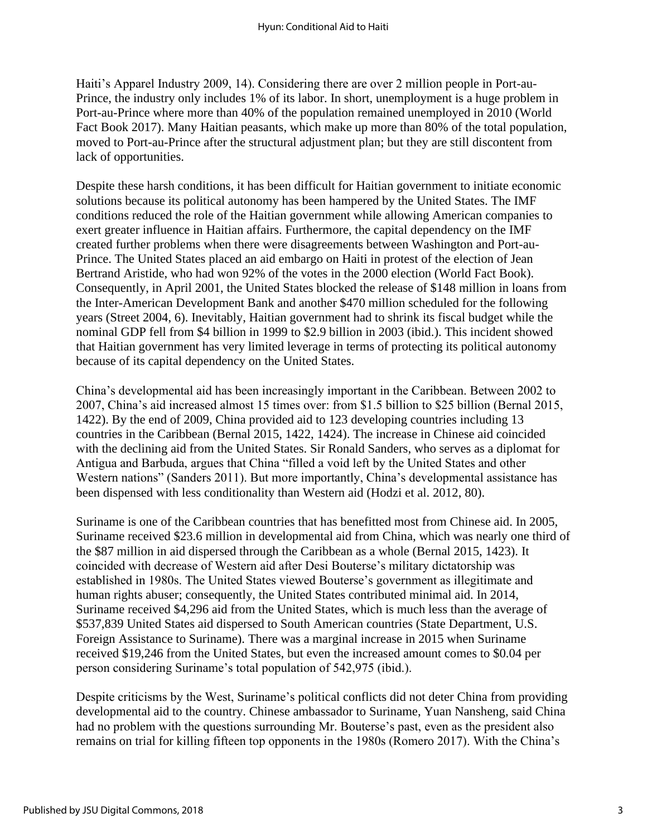Haiti's Apparel Industry 2009, 14). Considering there are over 2 million people in Port-au-Prince, the industry only includes 1% of its labor. In short, unemployment is a huge problem in Port-au-Prince where more than 40% of the population remained unemployed in 2010 (World Fact Book 2017). Many Haitian peasants, which make up more than 80% of the total population, moved to Port-au-Prince after the structural adjustment plan; but they are still discontent from lack of opportunities.

Despite these harsh conditions, it has been difficult for Haitian government to initiate economic solutions because its political autonomy has been hampered by the United States. The IMF conditions reduced the role of the Haitian government while allowing American companies to exert greater influence in Haitian affairs. Furthermore, the capital dependency on the IMF created further problems when there were disagreements between Washington and Port-au-Prince. The United States placed an aid embargo on Haiti in protest of the election of Jean Bertrand Aristide, who had won 92% of the votes in the 2000 election (World Fact Book). Consequently, in April 2001, the United States blocked the release of \$148 million in loans from the Inter-American Development Bank and another \$470 million scheduled for the following years (Street 2004, 6). Inevitably, Haitian government had to shrink its fiscal budget while the nominal GDP fell from \$4 billion in 1999 to \$2.9 billion in 2003 (ibid.). This incident showed that Haitian government has very limited leverage in terms of protecting its political autonomy because of its capital dependency on the United States.

China's developmental aid has been increasingly important in the Caribbean. Between 2002 to 2007, China's aid increased almost 15 times over: from \$1.5 billion to \$25 billion (Bernal 2015, 1422). By the end of 2009, China provided aid to 123 developing countries including 13 countries in the Caribbean (Bernal 2015, 1422, 1424). The increase in Chinese aid coincided with the declining aid from the United States. Sir Ronald Sanders, who serves as a diplomat for Antigua and Barbuda, argues that China "filled a void left by the United States and other Western nations" (Sanders 2011). But more importantly, China's developmental assistance has been dispensed with less conditionality than Western aid (Hodzi et al. 2012, 80).

Suriname is one of the Caribbean countries that has benefitted most from Chinese aid. In 2005, Suriname received \$23.6 million in developmental aid from China, which was nearly one third of the \$87 million in aid dispersed through the Caribbean as a whole (Bernal 2015, 1423). It coincided with decrease of Western aid after Desi Bouterse's military dictatorship was established in 1980s. The United States viewed Bouterse's government as illegitimate and human rights abuser; consequently, the United States contributed minimal aid. In 2014, Suriname received \$4,296 aid from the United States, which is much less than the average of \$537,839 United States aid dispersed to South American countries (State Department, U.S. Foreign Assistance to Suriname). There was a marginal increase in 2015 when Suriname received \$19,246 from the United States, but even the increased amount comes to \$0.04 per person considering Suriname's total population of 542,975 (ibid.).

Despite criticisms by the West, Suriname's political conflicts did not deter China from providing developmental aid to the country. Chinese ambassador to Suriname, Yuan Nansheng, said China had no problem with the questions surrounding Mr. Bouterse's past, even as the president also remains on trial for killing fifteen top opponents in the 1980s (Romero 2017). With the China's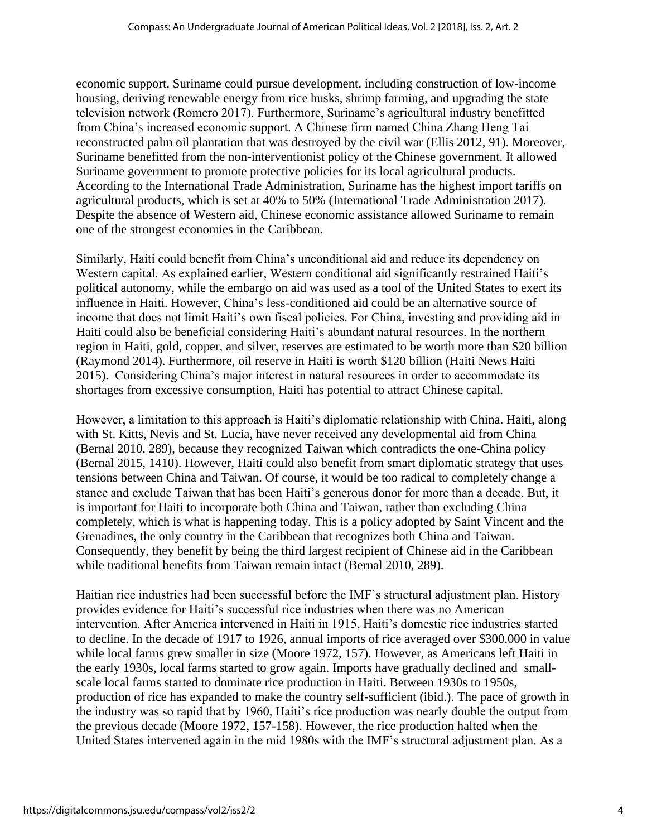economic support, Suriname could pursue development, including construction of low-income housing, deriving renewable energy from rice husks, shrimp farming, and upgrading the state television network (Romero 2017). Furthermore, Suriname's agricultural industry benefitted from China's increased economic support. A Chinese firm named China Zhang Heng Tai reconstructed palm oil plantation that was destroyed by the civil war (Ellis 2012, 91). Moreover, Suriname benefitted from the non-interventionist policy of the Chinese government. It allowed Suriname government to promote protective policies for its local agricultural products. According to the International Trade Administration, Suriname has the highest import tariffs on agricultural products, which is set at 40% to 50% (International Trade Administration 2017). Despite the absence of Western aid, Chinese economic assistance allowed Suriname to remain one of the strongest economies in the Caribbean.

Similarly, Haiti could benefit from China's unconditional aid and reduce its dependency on Western capital. As explained earlier, Western conditional aid significantly restrained Haiti's political autonomy, while the embargo on aid was used as a tool of the United States to exert its influence in Haiti. However, China's less-conditioned aid could be an alternative source of income that does not limit Haiti's own fiscal policies. For China, investing and providing aid in Haiti could also be beneficial considering Haiti's abundant natural resources. In the northern region in Haiti, gold, copper, and silver, reserves are estimated to be worth more than \$20 billion (Raymond 2014). Furthermore, oil reserve in Haiti is worth \$120 billion (Haiti News Haiti 2015). Considering China's major interest in natural resources in order to accommodate its shortages from excessive consumption, Haiti has potential to attract Chinese capital.

However, a limitation to this approach is Haiti's diplomatic relationship with China. Haiti, along with St. Kitts, Nevis and St. Lucia, have never received any developmental aid from China (Bernal 2010, 289), because they recognized Taiwan which contradicts the one-China policy (Bernal 2015, 1410). However, Haiti could also benefit from smart diplomatic strategy that uses tensions between China and Taiwan. Of course, it would be too radical to completely change a stance and exclude Taiwan that has been Haiti's generous donor for more than a decade. But, it is important for Haiti to incorporate both China and Taiwan, rather than excluding China completely, which is what is happening today. This is a policy adopted by Saint Vincent and the Grenadines, the only country in the Caribbean that recognizes both China and Taiwan. Consequently, they benefit by being the third largest recipient of Chinese aid in the Caribbean while traditional benefits from Taiwan remain intact (Bernal 2010, 289).

Haitian rice industries had been successful before the IMF's structural adjustment plan. History provides evidence for Haiti's successful rice industries when there was no American intervention. After America intervened in Haiti in 1915, Haiti's domestic rice industries started to decline. In the decade of 1917 to 1926, annual imports of rice averaged over \$300,000 in value while local farms grew smaller in size (Moore 1972, 157). However, as Americans left Haiti in the early 1930s, local farms started to grow again. Imports have gradually declined and smallscale local farms started to dominate rice production in Haiti. Between 1930s to 1950s, production of rice has expanded to make the country self-sufficient (ibid.). The pace of growth in the industry was so rapid that by 1960, Haiti's rice production was nearly double the output from the previous decade (Moore 1972, 157-158). However, the rice production halted when the United States intervened again in the mid 1980s with the IMF's structural adjustment plan. As a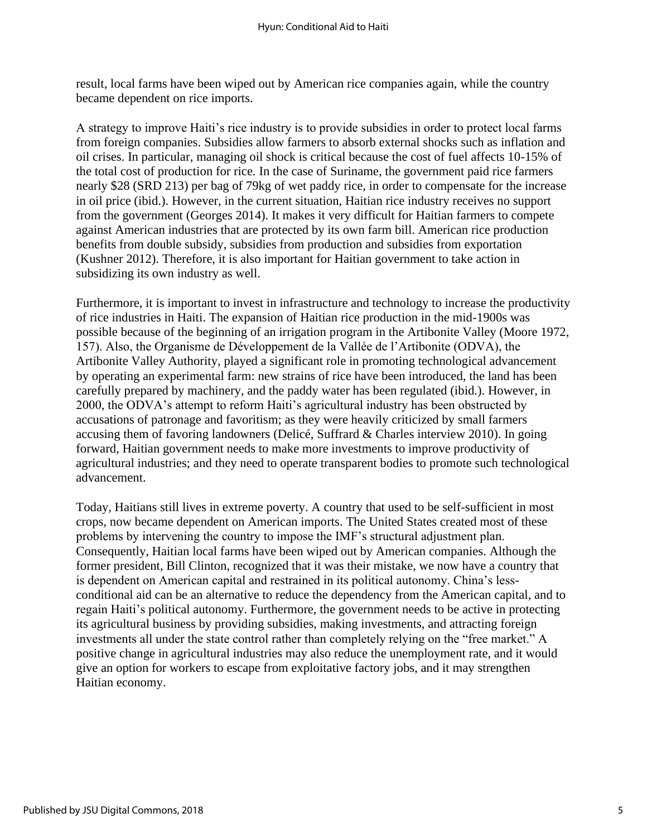result, local farms have been wiped out by American rice companies again, while the country became dependent on rice imports.

A strategy to improve Haiti's rice industry is to provide subsidies in order to protect local farms from foreign companies. Subsidies allow farmers to absorb external shocks such as inflation and oil crises. In particular, managing oil shock is critical because the cost of fuel affects 10-15% of the total cost of production for rice. In the case of Suriname, the government paid rice farmers nearly \$28 (SRD 213) per bag of 79kg of wet paddy rice, in order to compensate for the increase in oil price (ibid.). However, in the current situation, Haitian rice industry receives no support from the government (Georges 2014). It makes it very difficult for Haitian farmers to compete against American industries that are protected by its own farm bill. American rice production benefits from double subsidy, subsidies from production and subsidies from exportation (Kushner 2012). Therefore, it is also important for Haitian government to take action in subsidizing its own industry as well.

Furthermore, it is important to invest in infrastructure and technology to increase the productivity of rice industries in Haiti. The expansion of Haitian rice production in the mid-1900s was possible because of the beginning of an irrigation program in the Artibonite Valley (Moore 1972, 157). Also, the Organisme de Développement de la Vallée de l'Artibonite (ODVA), the Artibonite Valley Authority, played a significant role in promoting technological advancement by operating an experimental farm: new strains of rice have been introduced, the land has been carefully prepared by machinery, and the paddy water has been regulated (ibid.). However, in 2000, the ODVA's attempt to reform Haiti's agricultural industry has been obstructed by accusations of patronage and favoritism; as they were heavily criticized by small farmers accusing them of favoring landowners (Delicé, Suffrard & Charles interview 2010). In going forward, Haitian government needs to make more investments to improve productivity of agricultural industries; and they need to operate transparent bodies to promote such technological advancement.

Today, Haitians still lives in extreme poverty. A country that used to be self-sufficient in most crops, now became dependent on American imports. The United States created most of these problems by intervening the country to impose the IMF's structural adjustment plan. Consequently, Haitian local farms have been wiped out by American companies. Although the former president, Bill Clinton, recognized that it was their mistake, we now have a country that is dependent on American capital and restrained in its political autonomy. China's lessconditional aid can be an alternative to reduce the dependency from the American capital, and to regain Haiti's political autonomy. Furthermore, the government needs to be active in protecting its agricultural business by providing subsidies, making investments, and attracting foreign investments all under the state control rather than completely relying on the "free market." A positive change in agricultural industries may also reduce the unemployment rate, and it would give an option for workers to escape from exploitative factory jobs, and it may strengthen Haitian economy.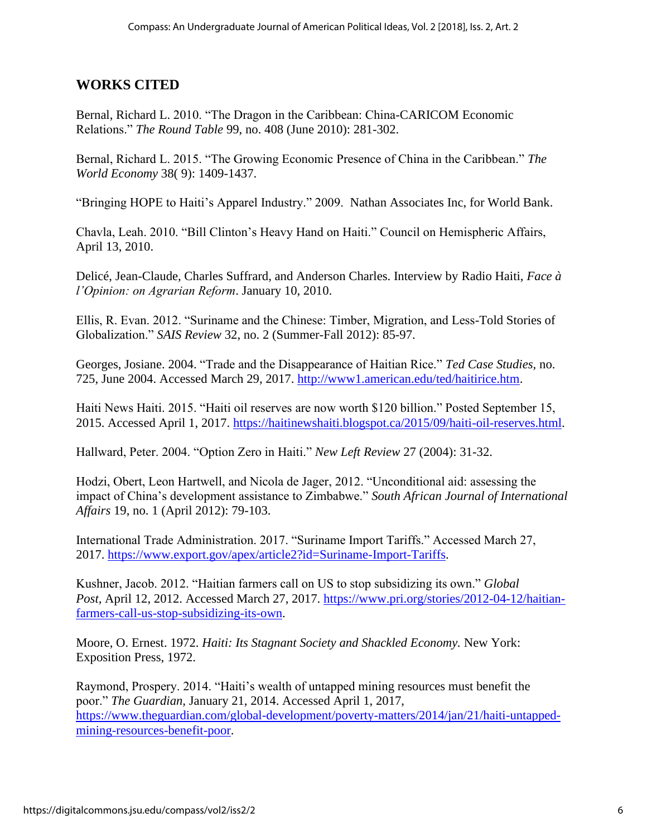## **WORKS CITED**

Bernal, Richard L. 2010. "The Dragon in the Caribbean: China-CARICOM Economic Relations." *The Round Table* 99, no. 408 (June 2010): 281-302.

Bernal, Richard L. 2015. "The Growing Economic Presence of China in the Caribbean." *The World Economy* 38( 9): 1409-1437.

"Bringing HOPE to Haiti's Apparel Industry." 2009. Nathan Associates Inc, for World Bank.

Chavla, Leah. 2010. "Bill Clinton's Heavy Hand on Haiti." Council on Hemispheric Affairs, April 13, 2010.

Delicé, Jean-Claude, Charles Suffrard, and Anderson Charles. Interview by Radio Haiti, *Face à l'Opinion: on Agrarian Reform*. January 10, 2010.

Ellis, R. Evan. 2012. "Suriname and the Chinese: Timber, Migration, and Less-Told Stories of Globalization." *SAIS Review* 32, no. 2 (Summer-Fall 2012): 85-97.

Georges, Josiane. 2004. "Trade and the Disappearance of Haitian Rice." *Ted Case Studies,* no. 725, June 2004. Accessed March 29, 2017. [http://www1.american.edu/ted/haitirice.htm.](http://www1.american.edu/ted/haitirice.htm)

Haiti News Haiti. 2015. "Haiti oil reserves are now worth \$120 billion." Posted September 15, 2015. Accessed April 1, 2017. [https://haitinewshaiti.blogspot.ca/2015/09/haiti-oil-reserves.html.](https://haitinewshaiti.blogspot.ca/2015/09/haiti-oil-reserves.html)

Hallward, Peter. 2004. "Option Zero in Haiti." *New Left Review* 27 (2004): 31-32.

Hodzi, Obert, Leon Hartwell, and Nicola de Jager, 2012. "Unconditional aid: assessing the impact of China's development assistance to Zimbabwe." *South African Journal of International Affairs* 19, no. 1 (April 2012): 79-103.

International Trade Administration. 2017. "Suriname Import Tariffs." Accessed March 27, 2017. [https://www.export.gov/apex/article2?id=Suriname-Import-Tariffs.](https://www.export.gov/apex/article2?id=Suriname-Import-Tariffs)

Kushner, Jacob. 2012. "Haitian farmers call on US to stop subsidizing its own." *Global Post,* April 12, 2012. Accessed March 27, 2017. [https://www.pri.org/stories/2012-04-12/haitian](https://www.pri.org/stories/2012-04-12/haitian-farmers-call-us-stop-subsidizing-its-own)[farmers-call-us-stop-subsidizing-its-own.](https://www.pri.org/stories/2012-04-12/haitian-farmers-call-us-stop-subsidizing-its-own)

Moore, O. Ernest. 1972. *Haiti: Its Stagnant Society and Shackled Economy.* New York: Exposition Press, 1972.

Raymond, Prospery. 2014. "Haiti's wealth of untapped mining resources must benefit the poor." *The Guardian,* January 21, 2014. Accessed April 1, 2017, [https://www.theguardian.com/global-development/poverty-matters/2014/jan/21/haiti-untapped](https://www.theguardian.com/global-development/poverty-matters/2014/jan/21/haiti-untapped-mining-resources-benefit-poor)[mining-resources-benefit-poor.](https://www.theguardian.com/global-development/poverty-matters/2014/jan/21/haiti-untapped-mining-resources-benefit-poor)